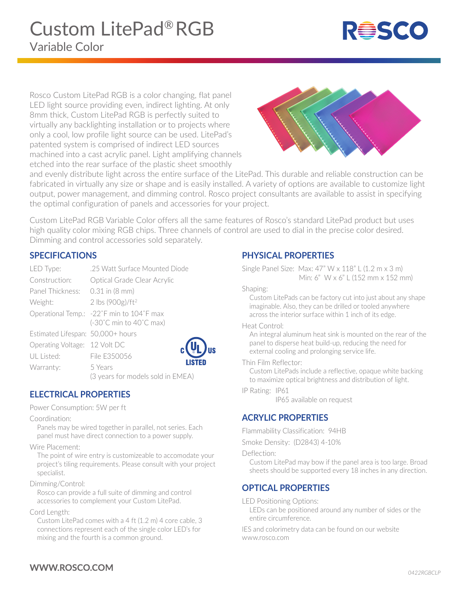

Rosco Custom LitePad RGB is a color changing, flat panel LED light source providing even, indirect lighting. At only 8mm thick, Custom LitePad RGB is perfectly suited to virtually any backlighting installation or to projects where only a cool, low profile light source can be used. LitePad's patented system is comprised of indirect LED sources machined into a cast acrylic panel. Light amplifying channels etched into the rear surface of the plastic sheet smoothly



and evenly distribute light across the entire surface of the LitePad. This durable and reliable construction can be fabricated in virtually any size or shape and is easily installed. A variety of options are available to customize light output, power management, and dimming control. Rosco project consultants are available to assist in specifying the optimal configuration of panels and accessories for your project.

Custom LitePad RGB Variable Color offers all the same features of Rosco's standard LitePad product but uses high quality color mixing RGB chips. Three channels of control are used to dial in the precise color desired. Dimming and control accessories sold separately.

**J**us

#### **SPECIFICATIONS**

| LED Type:                         | .25 Watt Surface Mounted Diode                                       |
|-----------------------------------|----------------------------------------------------------------------|
| Construction:                     | Optical Grade Clear Acrylic                                          |
| Panel Thickness: 0.31 in (8 mm)   |                                                                      |
| Weight:                           | 2 lbs $(900g)/ft^2$                                                  |
|                                   | Operational Temp.: -22°F min to 104°F max<br>(-30°C min to 40°C max) |
| Estimated Lifespan: 50,000+ hours |                                                                      |
| Operating Voltage: 12 Volt DC     |                                                                      |
| UL Listed:                        | File E350056                                                         |
| Warranty:                         | 5 Years<br>(3 years for models sold in EMEA)                         |

# **ELECTRICAL PROPERTIES**

Power Consumption: 5W per ft

Coordination:

Panels may be wired together in parallel, not series. Each panel must have direct connection to a power supply.

Wire Placement:

The point of wire entry is customizeable to accomodate your project's tiling requirements. Please consult with your project specialist.

Dimming/Control:

Rosco can provide a full suite of dimming and control accessories to complement your Custom LitePad.

Cord Length:

Custom LitePad comes with a 4 ft (1.2 m) 4 core cable, 3 connections represent each of the single color LED's for mixing and the fourth is a common ground.

#### **PHYSICAL PROPERTIES**

Single Panel Size: Max: 47" W x 118" L (1.2 m x 3 m) Min: 6" W x 6" L (152 mm x 152 mm)

Shaping:

Custom LitePads can be factory cut into just about any shape imaginable. Also, they can be drilled or tooled anywhere across the interior surface within 1 inch of its edge.

Heat Control:

An integral aluminum heat sink is mounted on the rear of the panel to disperse heat build-up, reducing the need for external cooling and prolonging service life.

Thin Film Reflector:

Custom LitePads include a reflective, opaque white backing to maximize optical brightness and distribution of light.

IP Rating: IP61

IP65 available on request

# **ACRYLIC PROPERTIES**

Flammability Classification: 94HB

Smoke Density: (D2843) 4-10%

Deflection:

Custom LitePad may bow if the panel area is too large. Broad sheets should be supported every 18 inches in any direction.

# **OPTICAL PROPERTIES**

LED Positioning Options:

LEDs can be positioned around any number of sides or the entire circumference.

IES and colorimetry data can be found on our website www.rosco.com